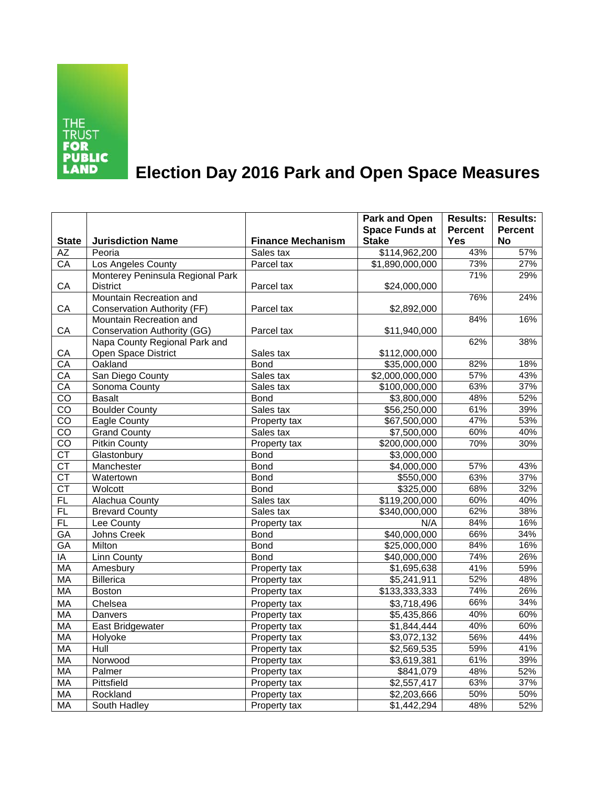

## **Election Day 2016 Park and Open Space Measures**

|                        |                                    |                          | <b>Park and Open</b>      | <b>Results:</b> | <b>Results:</b>  |
|------------------------|------------------------------------|--------------------------|---------------------------|-----------------|------------------|
|                        |                                    |                          | <b>Space Funds at</b>     | <b>Percent</b>  | <b>Percent</b>   |
| <b>State</b>           | <b>Jurisdiction Name</b>           | <b>Finance Mechanism</b> | <b>Stake</b>              | <b>Yes</b>      | <b>No</b>        |
| AZ                     | Peoria                             | Sales tax                | $\overline{$114,962,200}$ | 43%             | 57%              |
| $\overline{CA}$        | Los Angeles County                 | Parcel tax               | \$1,890,000,000           | 73%             | 27%              |
|                        | Monterey Peninsula Regional Park   |                          |                           | 71%             | 29%              |
| CA                     | <b>District</b>                    | Parcel tax               | \$24,000,000              |                 |                  |
|                        | Mountain Recreation and            |                          |                           | 76%             | 24%              |
| CA                     | <b>Conservation Authority (FF)</b> | Parcel tax               | \$2,892,000               |                 |                  |
|                        | Mountain Recreation and            |                          |                           | 84%             | 16%              |
| CA                     | <b>Conservation Authority (GG)</b> | Parcel tax               | \$11,940,000              |                 |                  |
|                        | Napa County Regional Park and      |                          |                           | 62%             | 38%              |
| CA                     | Open Space District                | Sales tax                | \$112,000,000             |                 |                  |
| CA                     | Oakland                            | <b>Bond</b>              | \$35,000,000              | 82%             | 18%              |
| CA                     | San Diego County                   | Sales tax                | \$2,000,000,000           | 57%             | 43%              |
| CA                     | Sonoma County                      | Sales tax                | \$100,000,000             | 63%             | 37%              |
| $\overline{co}$        | <b>Basalt</b>                      | <b>Bond</b>              | $\overline{$3,800,000}$   | 48%             | 52%              |
| $c\overline{o}$        | <b>Boulder County</b>              | Sales tax                | \$56,250,000              | 61%             | 39%              |
| $\overline{co}$        | Eagle County                       | Property tax             | \$67,500,000              | 47%             | 53%              |
| CO                     | <b>Grand County</b>                | Sales tax                | \$7,500,000               | 60%             | 40%              |
| $\overline{co}$        | <b>Pitkin County</b>               | Property tax             | \$200,000,000             | 70%             | 30%              |
| $\overline{\text{CT}}$ | Glastonbury                        | <b>Bond</b>              | \$3,000,000               |                 |                  |
| <b>CT</b>              | Manchester                         | <b>Bond</b>              | \$4,000,000               | 57%             | 43%              |
| $\overline{\text{CT}}$ | Watertown                          | <b>Bond</b>              | \$550,000                 | 63%             | 37%              |
| $\overline{\text{CT}}$ | Wolcott                            | <b>Bond</b>              | \$325,000                 | 68%             | 32%              |
| FL                     | Alachua County                     | Sales tax                | \$119,200,000             | 60%             | 40%              |
| <b>FL</b>              | <b>Brevard County</b>              | Sales tax                | \$340,000,000             | 62%             | 38%              |
| FL                     | Lee County                         | Property tax             | N/A                       | 84%             | 16%              |
| GA                     | Johns Creek                        | <b>Bond</b>              | \$40,000,000              | 66%             | 34%              |
| <b>GA</b>              | Milton                             | <b>Bond</b>              | \$25,000,000              | 84%             | 16%              |
| IA                     | <b>Linn County</b>                 | <b>Bond</b>              | \$40,000,000              | 74%             | 26%              |
| <b>MA</b>              | Amesbury                           | Property tax             | \$1,695,638               | 41%             | 59%              |
| MA                     | <b>Billerica</b>                   | Property tax             | \$5,241,911               | 52%             | 48%              |
| <b>MA</b>              | Boston                             | Property tax             | \$133,333,333             | 74%             | 26%              |
| <b>MA</b>              | Chelsea                            | Property tax             | \$3,718,496               | 66%             | 34%              |
| <b>MA</b>              | Danvers                            | Property tax             | \$5,435,866               | 40%             | 60%              |
| MA                     | East Bridgewater                   | Property tax             | \$1,844,444               | 40%             | 60%              |
| <b>MA</b>              | Holyoke                            | Property tax             | \$3,072,132               | 56%             | 44%              |
| MA                     | Hull                               | Property tax             | \$2,569,535               | 59%             | 41%              |
| MA                     | Norwood                            | Property tax             | \$3,619,381               | 61%             | 39%              |
| MA                     | Palmer                             | Property tax             | \$841,079                 | 48%             | 52%              |
| <b>MA</b>              | Pittsfield                         | Property tax             | \$2,557,417               | 63%             | 37%              |
| MA                     | Rockland                           | Property tax             | \$2,203,666               | 50%             | $\frac{1}{50\%}$ |
| MA                     | South Hadley                       | Property tax             | \$1,442,294               | 48%             | 52%              |